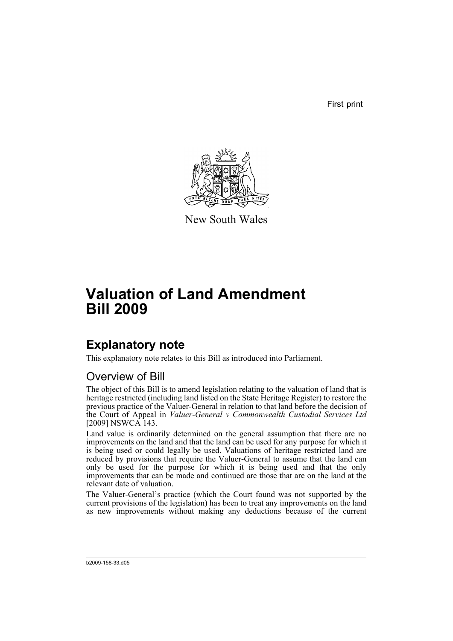First print



New South Wales

# **Valuation of Land Amendment Bill 2009**

## **Explanatory note**

This explanatory note relates to this Bill as introduced into Parliament.

### Overview of Bill

The object of this Bill is to amend legislation relating to the valuation of land that is heritage restricted (including land listed on the State Heritage Register) to restore the previous practice of the Valuer-General in relation to that land before the decision of the Court of Appeal in *Valuer-General v Commonwealth Custodial Services Ltd* [2009] NSWCA 143.

Land value is ordinarily determined on the general assumption that there are no improvements on the land and that the land can be used for any purpose for which it is being used or could legally be used. Valuations of heritage restricted land are reduced by provisions that require the Valuer-General to assume that the land can only be used for the purpose for which it is being used and that the only improvements that can be made and continued are those that are on the land at the relevant date of valuation.

The Valuer-General's practice (which the Court found was not supported by the current provisions of the legislation) has been to treat any improvements on the land as new improvements without making any deductions because of the current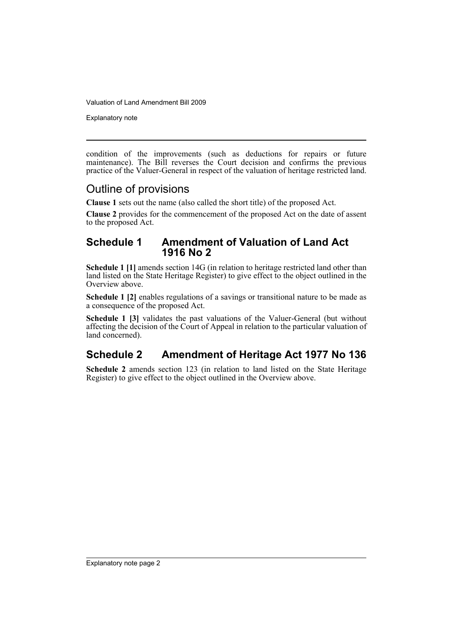Valuation of Land Amendment Bill 2009

Explanatory note

condition of the improvements (such as deductions for repairs or future maintenance). The Bill reverses the Court decision and confirms the previous practice of the Valuer-General in respect of the valuation of heritage restricted land.

#### Outline of provisions

**Clause 1** sets out the name (also called the short title) of the proposed Act.

**Clause 2** provides for the commencement of the proposed Act on the date of assent to the proposed Act.

#### **Schedule 1 Amendment of Valuation of Land Act 1916 No 2**

**Schedule 1** [1] amends section 14G (in relation to heritage restricted land other than land listed on the State Heritage Register) to give effect to the object outlined in the Overview above.

**Schedule 1 [2]** enables regulations of a savings or transitional nature to be made as a consequence of the proposed Act.

**Schedule 1 [3]** validates the past valuations of the Valuer-General (but without affecting the decision of the Court of Appeal in relation to the particular valuation of land concerned).

### **Schedule 2 Amendment of Heritage Act 1977 No 136**

**Schedule 2** amends section 123 (in relation to land listed on the State Heritage Register) to give effect to the object outlined in the Overview above.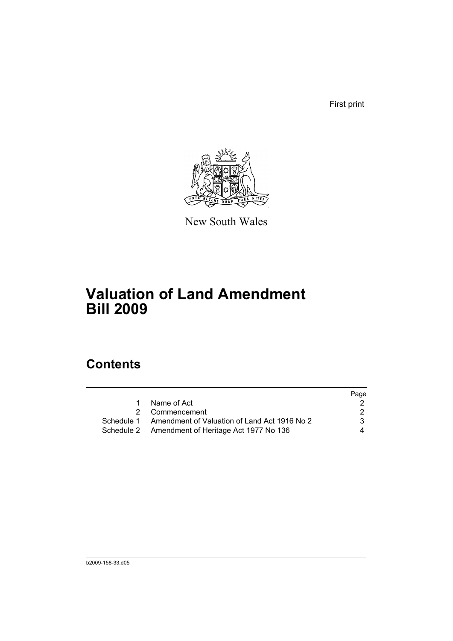First print



New South Wales

# **Valuation of Land Amendment Bill 2009**

## **Contents**

|   |                                                         | Page |
|---|---------------------------------------------------------|------|
| 1 | Name of Act                                             |      |
|   | 2 Commencement                                          | 2    |
|   | Schedule 1 Amendment of Valuation of Land Act 1916 No 2 | 3    |
|   | Schedule 2 Amendment of Heritage Act 1977 No 136        | 4    |
|   |                                                         |      |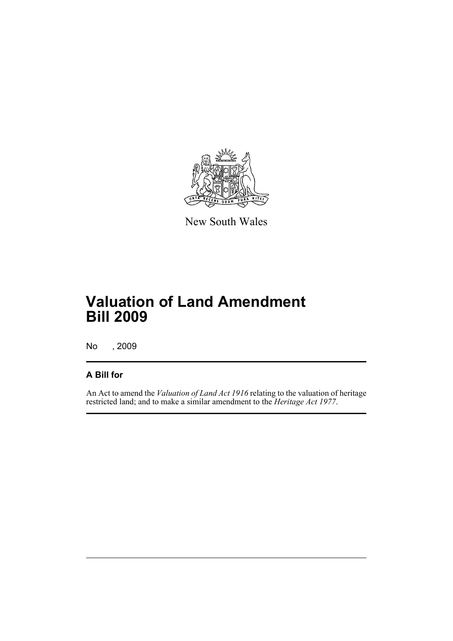

New South Wales

# **Valuation of Land Amendment Bill 2009**

No , 2009

#### **A Bill for**

An Act to amend the *Valuation of Land Act 1916* relating to the valuation of heritage restricted land; and to make a similar amendment to the *Heritage Act 1977*.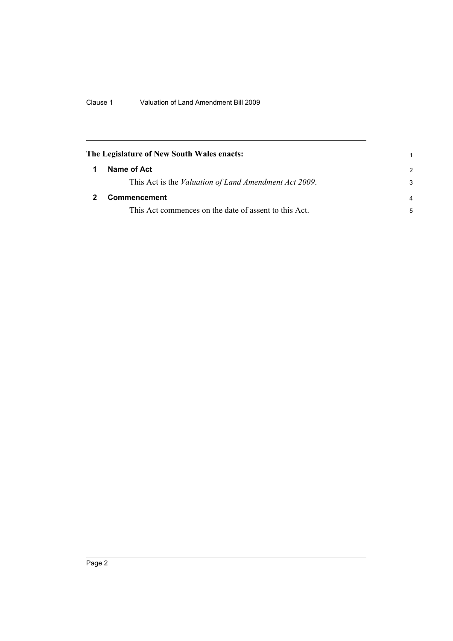<span id="page-5-1"></span><span id="page-5-0"></span>

| The Legislature of New South Wales enacts:                    |               |
|---------------------------------------------------------------|---------------|
| Name of Act                                                   | $\mathcal{P}$ |
| This Act is the <i>Valuation of Land Amendment Act 2009</i> . | 3             |
| <b>Commencement</b>                                           |               |
| This Act commences on the date of assent to this Act.         | 5             |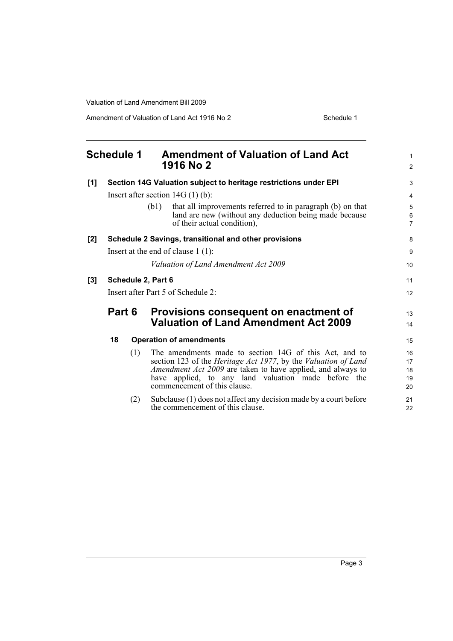Valuation of Land Amendment Bill 2009

Amendment of Valuation of Land Act 1916 No 2 Schedule 1

<span id="page-6-0"></span>

|       | <b>Schedule 1</b>                  |     | <b>Amendment of Valuation of Land Act</b>                                                                                                                   | 1                              |
|-------|------------------------------------|-----|-------------------------------------------------------------------------------------------------------------------------------------------------------------|--------------------------------|
|       |                                    |     | 1916 No 2                                                                                                                                                   | $\overline{2}$                 |
| [1]   |                                    |     | Section 14G Valuation subject to heritage restrictions under EPI                                                                                            | 3                              |
|       | Insert after section $14G(1)(b)$ : |     |                                                                                                                                                             |                                |
|       |                                    |     | that all improvements referred to in paragraph (b) on that<br>(b1)<br>land are new (without any deduction being made because<br>of their actual condition), | 5<br>$\,6\,$<br>$\overline{7}$ |
| [2]   |                                    |     | Schedule 2 Savings, transitional and other provisions                                                                                                       | 8                              |
|       |                                    |     | Insert at the end of clause $1(1)$ :                                                                                                                        | 9                              |
|       |                                    |     | Valuation of Land Amendment Act 2009                                                                                                                        | 10                             |
| $[3]$ | Schedule 2, Part 6                 |     | 11                                                                                                                                                          |                                |
|       | Insert after Part 5 of Schedule 2: |     | 12                                                                                                                                                          |                                |
|       | Part 6                             |     | Provisions consequent on enactment of                                                                                                                       | 13                             |
|       |                                    |     | <b>Valuation of Land Amendment Act 2009</b>                                                                                                                 | 14                             |
|       | 18                                 |     | <b>Operation of amendments</b>                                                                                                                              | 15                             |
|       |                                    | (1) | The amendments made to section 14G of this Act, and to<br>section 123 of the Heritage Act 1977, by the Valuation of Land                                    | 16<br>17                       |
|       |                                    |     | Amendment Act 2009 are taken to have applied, and always to<br>have applied, to any land valuation made before the<br>commencement of this clause.          | 18<br>19<br>20                 |
|       |                                    | (2) | Subclause (1) does not affect any decision made by a court before<br>the commencement of this clause.                                                       | 21<br>22                       |